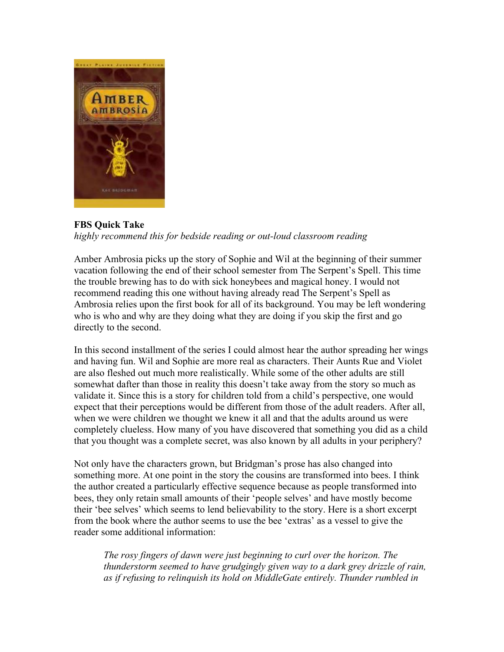

**FBS Quick Take**

*highly recommend this for bedside reading or out-loud classroom reading*

Amber Ambrosia picks up the story of Sophie and Wil at the beginning of their summer vacation following the end of their school semester from The Serpent's Spell. This time the trouble brewing has to do with sick honeybees and magical honey. I would not recommend reading this one without having already read The Serpent's Spell as Ambrosia relies upon the first book for all of its background. You may be left wondering who is who and why are they doing what they are doing if you skip the first and go directly to the second.

In this second installment of the series I could almost hear the author spreading her wings and having fun. Wil and Sophie are more real as characters. Their Aunts Rue and Violet are also fleshed out much more realistically. While some of the other adults are still somewhat dafter than those in reality this doesn't take away from the story so much as validate it. Since this is a story for children told from a child's perspective, one would expect that their perceptions would be different from those of the adult readers. After all, when we were children we thought we knew it all and that the adults around us were completely clueless. How many of you have discovered that something you did as a child that you thought was a complete secret, was also known by all adults in your periphery?

Not only have the characters grown, but Bridgman's prose has also changed into something more. At one point in the story the cousins are transformed into bees. I think the author created a particularly effective sequence because as people transformed into bees, they only retain small amounts of their 'people selves' and have mostly become their 'bee selves' which seems to lend believability to the story. Here is a short excerpt from the book where the author seems to use the bee 'extras' as a vessel to give the reader some additional information:

*The rosy fingers of dawn were just beginning to curl over the horizon. The thunderstorm seemed to have grudgingly given way to a dark grey drizzle of rain, as if refusing to relinquish its hold on MiddleGate entirely. Thunder rumbled in*